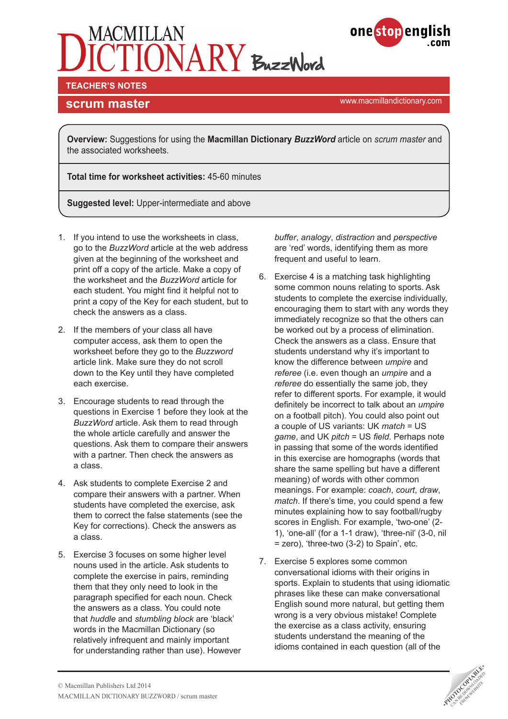



**scrum master scrum master scrum master scrum master scrum master scrum master** 

**Overview:** Suggestions for using the **Macmillan Dictionary** *BuzzWord* article on *scrum master* and the associated worksheets.

**Total time for worksheet activities:** 45-60 minutes

**Suggested level:** Upper-intermediate and above

- 1. If you intend to use the worksheets in class, go to the *BuzzWord* article at the web address given at the beginning of the worksheet and print off a copy of the article. Make a copy of the worksheet and the *BuzzWord* article for each student. You might find it helpful not to print a copy of the Key for each student, but to check the answers as a class.
- 2. If the members of your class all have computer access, ask them to open the worksheet before they go to the *Buzzword* article link. Make sure they do not scroll down to the Key until they have completed each exercise.
- 3. Encourage students to read through the questions in Exercise 1 before they look at the *BuzzWord* article. Ask them to read through the whole article carefully and answer the questions. Ask them to compare their answers with a partner. Then check the answers as a class.
- 4. Ask students to complete Exercise 2 and compare their answers with a partner. When students have completed the exercise, ask them to correct the false statements (see the Key for corrections). Check the answers as a class.
- 5. Exercise 3 focuses on some higher level nouns used in the article. Ask students to complete the exercise in pairs, reminding them that they only need to look in the paragraph specified for each noun. Check the answers as a class. You could note that *huddle* and *stumbling block* are 'black' words in the Macmillan Dictionary (so relatively infrequent and mainly important for understanding rather than use). However

*buffer*, *analogy*, *distraction* and *perspective*  are 'red' words, identifying them as more frequent and useful to learn.

- 6. Exercise 4 is a matching task highlighting some common nouns relating to sports. Ask students to complete the exercise individually, encouraging them to start with any words they immediately recognize so that the others can be worked out by a process of elimination. Check the answers as a class. Ensure that students understand why it's important to know the difference between *umpire* and *referee* (i.e. even though an *umpire* and a *referee* do essentially the same job, they refer to different sports. For example, it would definitely be incorrect to talk about an *umpire* on a football pitch). You could also point out a couple of US variants: UK *match* = US *game*, and UK *pitch* = US *field*. Perhaps note in passing that some of the words identified in this exercise are homographs (words that share the same spelling but have a different meaning) of words with other common meanings. For example: *coach*, *court*, *draw*, *match*. If there's time, you could spend a few minutes explaining how to say football/rugby scores in English. For example, 'two-one' (2- 1), 'one-all' (for a 1-1 draw), 'three-nil' (3-0, nil = zero), 'three-two (3-2) to Spain', etc.
- 7. Exercise 5 explores some common conversational idioms with their origins in sports. Explain to students that using idiomatic phrases like these can make conversational English sound more natural, but getting them wrong is a very obvious mistake! Complete the exercise as a class activity, ensuring students understand the meaning of the idioms contained in each question (all of the

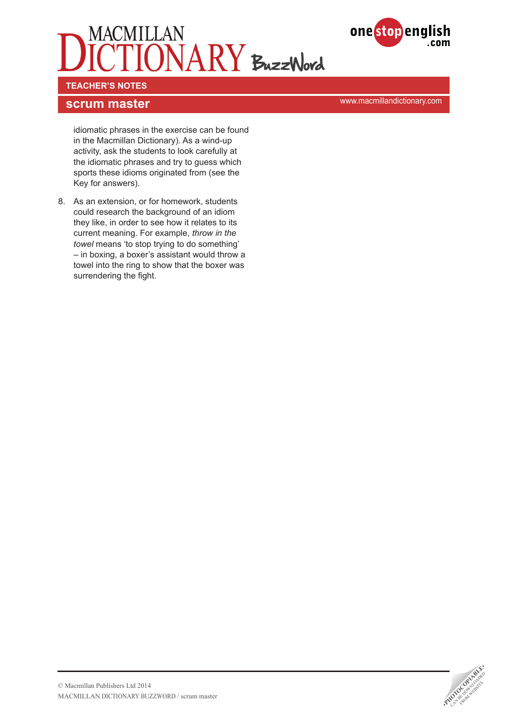



**TEACHER'S NOTES** 

**scrum master scrum master scrum master scrum master scrum master scrum master** 

idiomatic phrases in the exercise can be found in the Macmillan Dictionary). As a wind-up activity, ask the students to look carefully at the idiomatic phrases and try to guess which sports these idioms originated from (see the Key for answers).

8. As an extension, or for homework, students could research the background of an idiom they like, in order to see how it relates to its current meaning. For example, *throw in the towel* means 'to stop trying to do something' – in boxing, a boxer's assistant would throw a towel into the ring to show that the boxer was surrendering the fight.

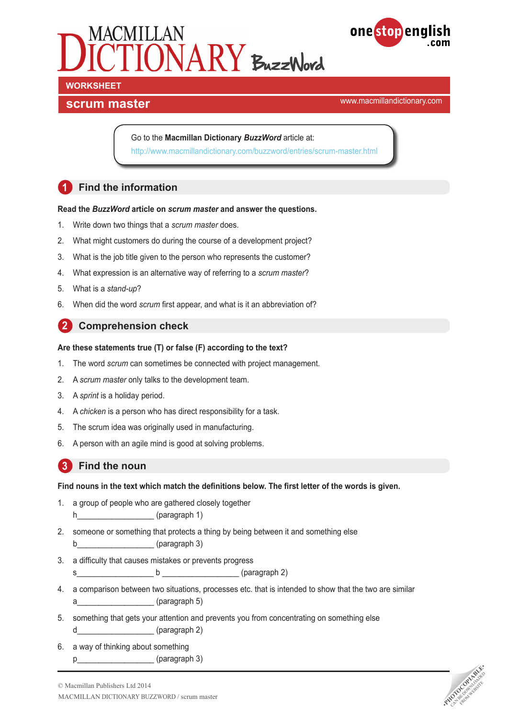



# **WORKSHEET**

## **scrum master scrum master scrum master scrum master scrum master scrum master**

Go to the **Macmillan Dictionary** *BuzzWord* article at: <http://www.macmillandictionary.com/buzzword/entries/scrum-master.html>

## **1 Find the information**

#### **Read the** *BuzzWord* **article on** *scrum master* **and answer the questions.**

- 1. Write down two things that a *scrum master* does.
- 2. What might customers do during the course of a development project?
- 3. What is the job title given to the person who represents the customer?
- 4. What expression is an alternative way of referring to a *scrum master*?
- 5. What is a *stand-up*?
- 6. When did the word *scrum* first appear, and what is it an abbreviation of?

## **2 Comprehension check**

#### **Are these statements true (T) or false (F) according to the text?**

- 1. The word *scrum* can sometimes be connected with project management.
- 2. A *scrum master* only talks to the development team.
- 3. A *sprint* is a holiday period.
- 4. A *chicken* is a person who has direct responsibility for a task.
- 5. The scrum idea was originally used in manufacturing.
- 6. A person with an agile mind is good at solving problems.

## **3 Find the noun**

#### **Find nouns in the text which match the definitions below. The first letter of the words is given.**

- 1. a group of people who are gathered closely together h (paragraph 1)
- 2. someone or something that protects a thing by being between it and something else b<sup>2</sup> (paragraph 3)
- 3. a difficulty that causes mistakes or prevents progress
	- s\_\_\_\_\_\_\_\_\_\_\_\_\_\_\_\_\_\_ b \_\_\_\_\_\_\_\_\_\_\_\_\_\_\_\_\_\_ (paragraph 2)
- 4. a comparison between two situations, processes etc. that is intended to show that the two are similar a<sup>ccoup</sup> (paragraph 5)
- 5. something that gets your attention and prevents you from concentrating on something else d (paragraph 2)
- 6. a way of thinking about something p\_\_\_\_\_\_\_\_\_\_\_\_\_\_\_\_\_\_\_\_\_\_\_\_\_(paragraph 3)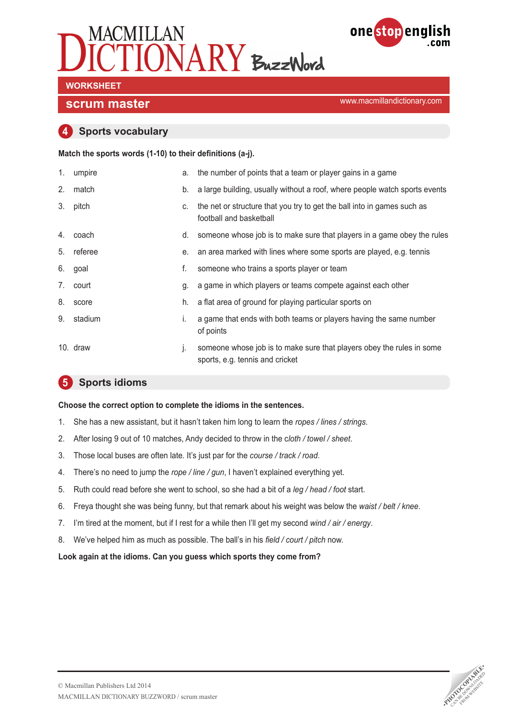



## **WORKSHEET**

## **scrum master scrum master scrum master scrum master scrum master scrum master**

#### **4 Sports vocabulary**

#### **Match the sports words (1-10) to their definitions (a-j).**

| 1. | umpire   | a. | the number of points that a team or player gains in a game                                               |
|----|----------|----|----------------------------------------------------------------------------------------------------------|
| 2. | match    | b. | a large building, usually without a roof, where people watch sports events                               |
| 3. | pitch    | C. | the net or structure that you try to get the ball into in games such as<br>football and basketball       |
| 4. | coach    | d. | someone whose job is to make sure that players in a game obey the rules                                  |
| 5. | referee  | е. | an area marked with lines where some sports are played, e.g. tennis                                      |
| 6. | goal     | f. | someone who trains a sports player or team                                                               |
| 7. | court    | g. | a game in which players or teams compete against each other                                              |
| 8. | score    | h. | a flat area of ground for playing particular sports on                                                   |
| 9. | stadium  | Ι. | a game that ends with both teams or players having the same number<br>of points                          |
|    | 10. draw | j. | someone whose job is to make sure that players obey the rules in some<br>sports, e.g. tennis and cricket |

## **5 Sports idioms**

**Choose the correct option to complete the idioms in the sentences.**

- 1. She has a new assistant, but it hasn't taken him long to learn the *ropes / lines / strings*.
- 2. After losing 9 out of 10 matches, Andy decided to throw in the c*loth / towel / sheet*.
- 3. Those local buses are often late. It's just par for the *course / track / road*.
- 4. There's no need to jump the *rope / line / gun*, I haven't explained everything yet.
- 5. Ruth could read before she went to school, so she had a bit of a *leg / head / foot* start.
- 6. Freya thought she was being funny, but that remark about his weight was below the *waist / belt / knee*.
- 7. I'm tired at the moment, but if I rest for a while then I'll get my second *wind / air / energy*.
- 8. We've helped him as much as possible. The ball's in his *field / court / pitch* now.

**Look again at the idioms. Can you guess which sports they come from?**